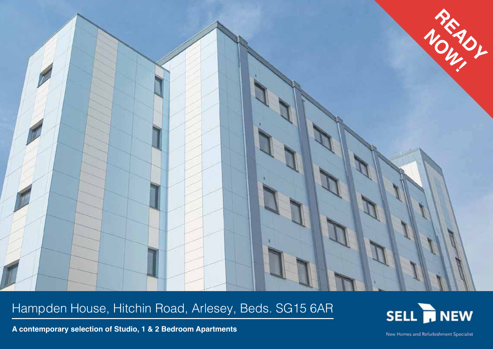

# Hampden House, Hitchin Road, Arlesey, Beds. SG15 6AR



**A contemporary selection of Studio, 1 & 2 Bedroom Apartments**

New Homes and Refurbishment Specialist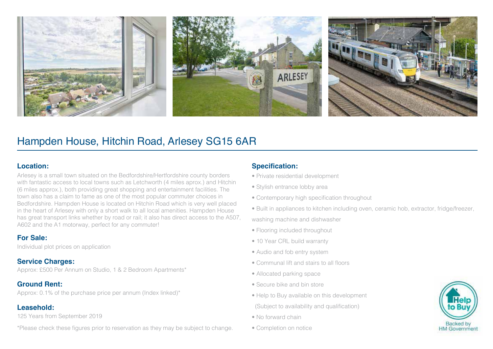

## Hampden House, Hitchin Road, Arlesey SG15 6AR

#### **Location:**

Arlesey is a small town situated on the Bedfordshire/Hertfordshire county borders with fantastic access to local towns such as Letchworth (4 miles aprox.) and Hitchin (6 miles approx.), both providing great shopping and entertainment facilities. The town also has a claim to fame as one of the most popular commuter choices in Bedfordshire. Hampden House is located on Hitchin Road which is very well placed in the heart of Arlesey with only a short walk to all local amenities. Hampden House has great transport links whether by road or rail; it also has direct access to the A507, A602 and the A1 motorway, perfect for any commuter!

#### **For Sale:**

Individual plot prices on application

#### **Service Charges:**

Approx: £500 Per Annum on Studio, 1 & 2 Bedroom Apartments\*

### **Ground Rent:**

Approx: 0.1% of the purchase price per annum (Index linked)\*

### **Leasehold:**

125 Years from September 2019

\*Please check these figures prior to reservation as they may be subject to change.

### **Specification:**

- Private residential development
- Stylish entrance lobby area
- Contemporary high specification throughout
- Built in appliances to kitchen including oven, ceramic hob, extractor, fridge/freezer, washing machine and dishwasher
- Flooring included throughout
- 10 Year CRL build warranty
- Audio and fob entry system
- Communal lift and stairs to all floors
- Allocated parking space
- Secure bike and bin store
- Help to Buy available on this development
- (Subject to availability and qualification)
- No forward chain
- Completion on notice

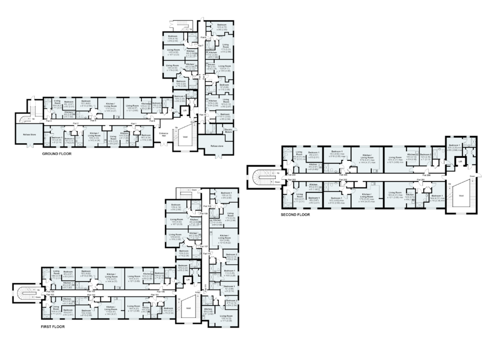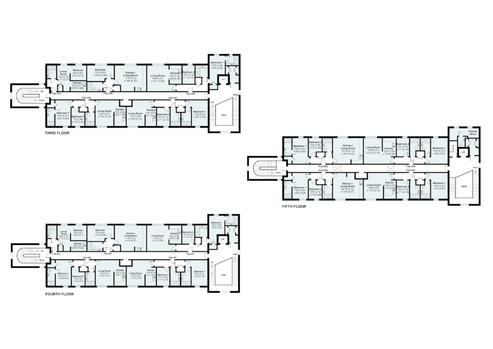





**FOURTH FLOOR**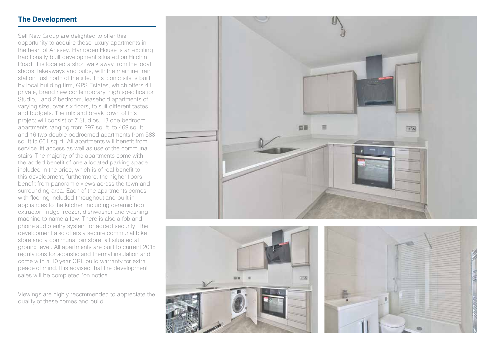#### **The Development**

Sell New Group are delighted to offer this opportunity to acquire these luxury apartments in the heart of Arlesey. Hampden House is an exciting traditionally built development situated on Hitchin Road. It is located a short walk away from the local shops, takeaways and pubs, with the mainline train station, just north of the site. This iconic site is built by local building firm, GPS Estates, which offers 41 private, brand new contemporary, high specification Studio,1 and 2 bedroom, leasehold apartments of varying size, over six floors, to suit different tastes and budgets. The mix and break down of this project will consist of 7 Studios, 18 one bedroom apartments ranging from 297 sq. ft. to 469 sq. ft. and 16 two double bedroomed apartments from 583 sq. ft.to 661 sq. ft. All apartments will benefit from service lift access as well as use of the communal stairs. The majority of the apartments come with the added benefit of one allocated parking space included in the price, which is of real benefit to this development; furthermore, the higher floors benefit from panoramic views across the town and surrounding area. Each of the apartments comes with flooring included throughout and built in appliances to the kitchen including ceramic hob, extractor, fridge freezer, dishwasher and washing machine to name a few. There is also a fob and phone audio entry system for added security. The development also offers a secure communal bike store and a communal bin store, all situated at ground level. All apartments are built to current 2018 regulations for acoustic and thermal insulation and come with a 10 year CRL build warranty for extra peace of mind. It is advised that the development sales will be completed "on notice".

Viewings are highly recommended to appreciate the quality of these homes and build.